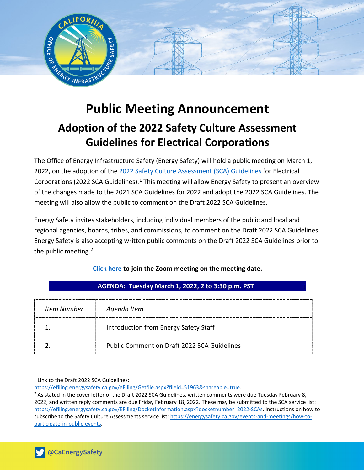

# **Public Meeting Announcement Adoption of the 2022 Safety Culture Assessment Guidelines for Electrical Corporations**

The Office of Energy Infrastructure Safety (Energy Safety) will hold a public meeting on March 1, 2022, on the adoption of the [2022 Safety Culture Assessment](https://efiling.energysafety.ca.gov/eFiling/Getfile.aspx?fileid=51963&shareable=true) (SCA) Guidelines for Electrical Corporations (2022 SCA Guidelines).<sup>[1](#page-0-0)</sup> This meeting will allow Energy Safety to present an overview of the changes made to the 2021 SCA Guidelines for 2022 and adopt the 2022 SCA Guidelines. The meeting will also allow the public to comment on the Draft 2022 SCA Guidelines.

Energy Safety invites stakeholders, including individual members of the public and local and regional agencies, boards, tribes, and commissions, to comment on the Draft 2022 SCA Guidelines. Energy Safety is also accepting written public comments on the Draft 2022 SCA Guidelines prior to the public meeting.<sup>[2](#page-0-1)</sup>

| Item Number | Agenda Item                                 |
|-------------|---------------------------------------------|
|             | Introduction from Energy Safety Staff       |
|             | Public Comment on Draft 2022 SCA Guidelines |

## **[Click here](https://ca-water-gov.zoom.us/j/81341068941) to join the Zoom meeting on the meeting date.**

 **AGENDA: Tuesday March 1, 2022, 2 to 3:30 p.m. PST** 

<span id="page-0-0"></span><sup>1</sup> Link to the Draft 2022 SCA Guidelines:

[https://efiling.energysafety.ca.gov/eFiling/Getfile.aspx?fileid=51963&shareable=true.](https://efiling.energysafety.ca.gov/eFiling/Getfile.aspx?fileid=51963&shareable=true)

<span id="page-0-1"></span> $2$  As stated in the cover letter of the Draft 2022 SCA Guidelines, written comments were due Tuesday February 8, 2022, and written reply comments are due Friday February 18, 2022. These may be submitted to the SCA service list: [https://efiling.energysafety.ca.gov/EFiling/DocketInformation.aspx?docketnumber=2022-SCAs.](https://efiling.energysafety.ca.gov/EFiling/DocketInformation.aspx?docketnumber=2022-SCAs) Instructions on how to subscribe to the Safety Culture Assessments service list: [https://energysafety.ca.gov/events-and-meetings/how-to](https://energysafety.ca.gov/events-and-meetings/how-to-participate-in-public-events)[participate-in-public-events.](https://energysafety.ca.gov/events-and-meetings/how-to-participate-in-public-events)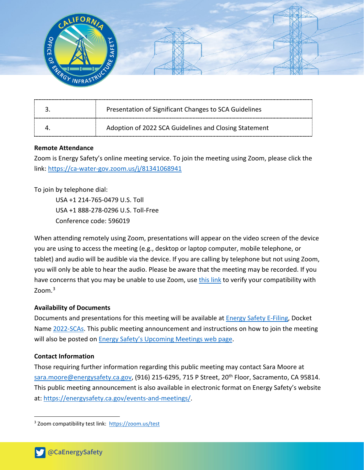

| Presentation of Significant Changes to SCA Guidelines |
|-------------------------------------------------------|
| Adoption of 2022 SCA Guidelines and Closing Statement |

### **Remote Attendance**

Zoom is Energy Safety's online meeting service. To join the meeting using Zoom, please click the link: <https://ca-water-gov.zoom.us/j/81341068941>

To join by telephone dial:

USA +1 214-765-0479 U.S. Toll USA +1 888-278-0296 U.S. Toll-Free Conference code: 596019

When attending remotely using Zoom, presentations will appear on the video screen of the device you are using to access the meeting (e.g., desktop or laptop computer, mobile telephone, or tablet) and audio will be audible via the device. If you are calling by telephone but not using Zoom, you will only be able to hear the audio. Please be aware that the meeting may be recorded. If you have concerns that you may be unable to use Zoom, use [this link](https://zoom.us/test) to verify your compatibility with Zoom. [3](#page-1-0)

#### **Availability of Documents**

Documents and presentations for this meeting will be available at [Energy Safety E-Filing,](https://efiling.energysafety.ca.gov/) Docket Name [2022-SCAs.](https://efiling.energysafety.ca.gov/EFiling/DocketInformation.aspx?docketnumber=2022-SCAs) This public meeting announcement and instructions on how to join the meeting will also be posted on **Energy Safety's Upcoming Meetings web page**.

#### **Contact Information**

Those requiring further information regarding this public meeting may contact Sara Moore at [sara.moore@energysafety.ca.gov,](mailto:sara.moore@energysafety.ca.gov) (916) 215-6295, 715 P Street, 20<sup>th</sup> Floor, Sacramento, CA 95814. This public meeting announcement is also available in electronic format on Energy Safety's website at: [https://energysafety.ca.gov/events-and-meetings/.](https://energysafety.ca.gov/events-and-meetings/)

<span id="page-1-0"></span><sup>3</sup> Zoom compatibility test link:<https://zoom.us/test>